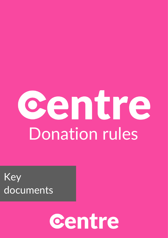# centre Donation rules

Key documents

# centre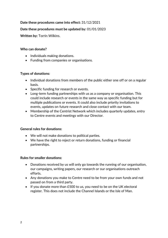# **Date these procedures came into effect:** 31/12/2021

# **Date these procedures must be updated by:** 01/01/2023

**Written by:** Torrin Wilkins.

# **Who can donate?**

- Individuals making donations.
- Funding from companies or organisations.

## **Types of donations:**

- Individual donations from members of the public either one off or on a regular basis.
- Specific funding for research or events.
- Long-term funding partnerships with us as a company or organisation. This could include research or events in the same way as specific funding but for multiple publications or events. It could also include priority invitations to events, updates on future research and close contact with our team.
- Membership of the Centrist Network which includes quarterly updates, entry to Centre events and meetings with our Director.

#### **General rules for donations:**

- We will not make donations to political parties.
- We have the right to reject or return donations, funding or financial partnerships.

#### **Rules for smaller donations:**

- Donations received by us will only go towards the running of our organisation, our campaigns, writing papers, our research or our organisations outreach efforts.
- Any donations you make to Centre need to be from your own funds and not passed on from a third party.
- If you donate more than £500 to us, you need to be on the UK electoral register. This does not include the Channel Islands or the Isle of Man.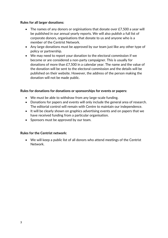# **Rules for all larger donations:**

- The names of any donors or orginisations that donate over £7,500 a year will be published in our annual yearly reports. We will also publish a full list of corporate donors, organisations that donate to us and anyone who is a member of the Centrist Network.
- Any large donations must be approved by our team just like any other type of policy or partnership.
- We may need to report your donation to the electoral commission if we become or are considered a non-party campaigner. This is usually for donations of more than £7,500 in a calendar year. The name and the value of the donation will be sent to the electoral commission and the details will be published on their website. However, the address of the person making the donation will not be made public.

## **Rules for donations for donations or sponsorships for events or papers:**

- We must be able to withdraw from any large-scale funding.
- Donations for papers and events will only include the general area of research. The editorial control will remain with Centre to maintain our independence.
- It will be clearly shown on graphics advertising events and on papers that we have received funding from a particular organisation.
- Sponsors must be approved by our team.

# **Rules for the Centrist network:**

• We will keep a public list of all donors who attend meetings of the Centrist Network.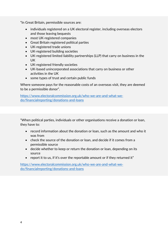"In Great Britain, permissible sources are:

- individuals registered on a UK electoral register, including overseas electors and those leaving bequests
- most UK-registered companies
- Great Britain registered political parties
- UK-registered trade unions
- UK-registered building societies
- UK-registered limited liability partnerships (LLP) that carry on business in the UK
- UK-registered friendly societies
- UK-based unincorporated associations that carry on business or other activities in the UK
- some types of trust and certain public funds

Where someone pays for the reasonable costs of an overseas visit, they are deemed to be a permissible donor".

[https://www.electoralcommission.org.uk/who-we-are-and-what-we](https://www.electoralcommission.org.uk/who-we-are-and-what-we-do/financialreporting/donations-and-loans)[do/financialreporting/donations-and-loans](https://www.electoralcommission.org.uk/who-we-are-and-what-we-do/financialreporting/donations-and-loans)

"When political parties, individuals or other organisations receive a donation or loan, they have to:

- record information about the donation or loan, such as the amount and who it was from
- check the source of the donation or loan, and decide if it comes from a permissible source
- decide whether to keep or return the donation or loan, depending on its source
- report it to us, if it's over the reportable amount or if they returned it"

[https://www.electoralcommission.org.uk/who-we-are-and-what-we](https://www.electoralcommission.org.uk/who-we-are-and-what-we-do/financialreporting/donations-and-loans)[do/financialreporting/donations-and-loans](https://www.electoralcommission.org.uk/who-we-are-and-what-we-do/financialreporting/donations-and-loans)